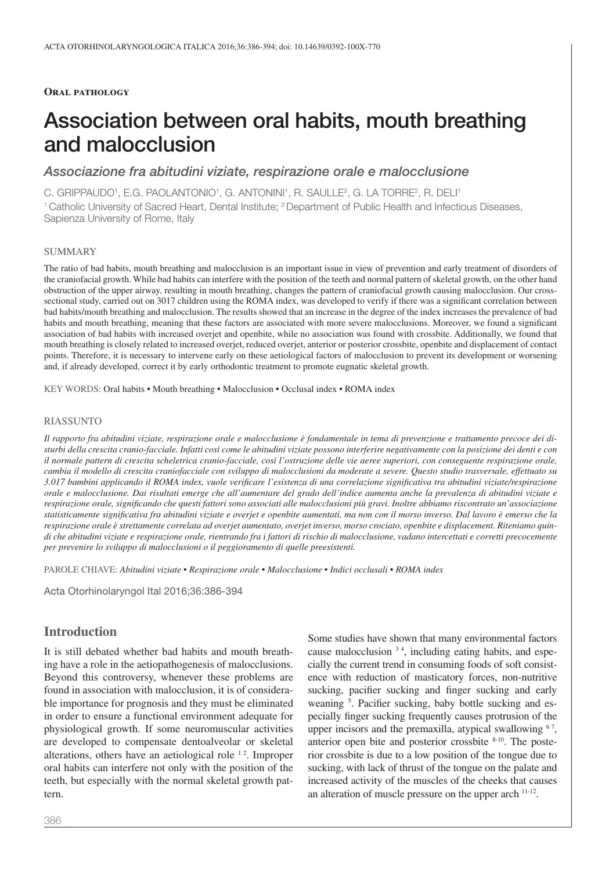#### **Oral pathology**

# Association between oral habits, mouth breathing and malocclusion

## Associazione fra abitudini viziate, respirazione orale e malocclusione

C. GRIPPAUDO', E.G. PAOLANTONIO', G. ANTONINI', R. SAULLE<del>'</del>, G. LA TORRE<del>'</del>, R. DELI'

<sup>1</sup> Catholic University of Sacred Heart, Dental Institute; <sup>2</sup> Department of Public Health and Infectious Diseases, Sapienza University of Rome, Italy

#### SUMMARY

The ratio of bad habits, mouth breathing and malocclusion is an important issue in view of prevention and early treatment of disorders of the craniofacial growth. While bad habits can interfere with the position of the teeth and normal pattern of skeletal growth, on the other hand obstruction of the upper airway, resulting in mouth breathing, changes the pattern of craniofacial growth causing malocclusion. Our crosssectional study, carried out on 3017 children using the ROMA index, was developed to verify if there was a signifcant correlation between bad habits/mouth breathing and malocclusion. The results showed that an increase in the degree of the index increases the prevalence of bad habits and mouth breathing, meaning that these factors are associated with more severe malocclusions. Moreover, we found a signifcant association of bad habits with increased overjet and openbite, while no association was found with crossbite. Additionally, we found that mouth breathing is closely related to increased overjet, reduced overjet, anterior or posterior crossbite, openbite and displacement of contact points. Therefore, it is necessary to intervene early on these aetiological factors of malocclusion to prevent its development or worsening and, if already developed, correct it by early orthodontic treatment to promote eugnatic skeletal growth.

KEY WORDS: Oral habits • Mouth breathing • Malocclusion • Occlusal index • ROMA index

#### RIASSUNTO

*Il rapporto fra abitudini viziate, respirazione orale e malocclusione è fondamentale in tema di prevenzione e trattamento precoce dei disturbi della crescita cranio-facciale. Infatti così come le abitudini viziate possono interferire negativamente con la posizione dei denti e con il normale pattern di crescita scheletrica cranio-facciale, così l'ostruzione delle vie aeree superiori, con conseguente respirazione orale, cambia il modello di crescita craniofacciale con sviluppo di malocclusioni da moderate a severe. Questo studio trasversale, effettuato su 3.017 bambini applicando il ROMA index, vuole verifcare l'esistenza di una correlazione signifcativa tra abitudini viziate/respirazione orale e malocclusione. Dai risultati emerge che all'aumentare del grado dell'indice aumenta anche la prevalenza di abitudini viziate e respirazione orale, signifcando che questi fattori sono associati alle malocclusioni più gravi. Inoltre abbiamo riscontrato un'associazione statisticamente signifcativa fra abitudini viziate e overjet e openbite aumentati, ma non con il morso inverso. Dal lavoro è emerso che la respirazione orale è strettamente correlata ad overjet aumentato, overjet inverso, morso crociato, openbite e displacement. Riteniamo quindi che abitudini viziate e respirazione orale, rientrando fra i fattori di rischio di malocclusione, vadano intercettati e corretti precocemente per prevenire lo sviluppo di malocclusioni o il peggioramento di quelle preesistenti.*

PAROLE CHIAVE: *Abitudini viziate • Respirazione orale • Malocclusione • Indici occlusali • ROMA index*

Acta Otorhinolaryngol Ital 2016;36:386-394

# **Introduction**

It is still debated whether bad habits and mouth breathing have a role in the aetiopathogenesis of malocclusions. Beyond this controversy, whenever these problems are found in association with malocclusion, it is of considerable importance for prognosis and they must be eliminated in order to ensure a functional environment adequate for physiological growth. If some neuromuscular activities are developed to compensate dentoalveolar or skeletal alterations, others have an aetiological role  $12$ . Improper oral habits can interfere not only with the position of the teeth, but especially with the normal skeletal growth pattern.

Some studies have shown that many environmental factors cause malocclusion <sup>3</sup> <sup>4</sup> , including eating habits, and especially the current trend in consuming foods of soft consistence with reduction of masticatory forces, non-nutritive sucking, pacifer sucking and fnger sucking and early weaning <sup>5</sup>. Pacifier sucking, baby bottle sucking and especially fnger sucking frequently causes protrusion of the upper incisors and the premaxilla, atypical swallowing  $67$ , anterior open bite and posterior crossbite  $8-10$ . The posterior crossbite is due to a low position of the tongue due to sucking, with lack of thrust of the tongue on the palate and increased activity of the muscles of the cheeks that causes an alteration of muscle pressure on the upper arch 11-12.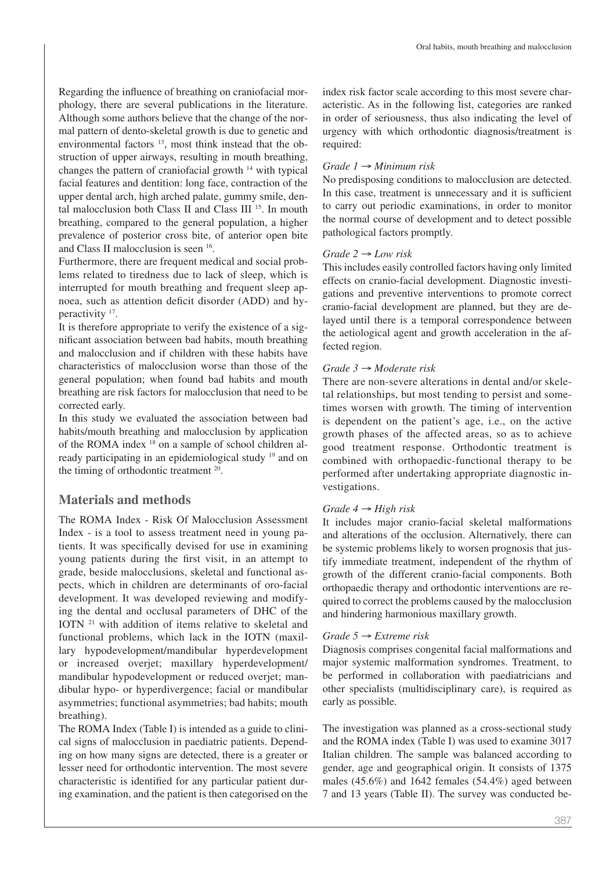Regarding the infuence of breathing on craniofacial morphology, there are several publications in the literature. Although some authors believe that the change of the normal pattern of dento-skeletal growth is due to genetic and environmental factors <sup>13</sup>, most think instead that the obstruction of upper airways, resulting in mouth breathing, changes the pattern of craniofacial growth 14 with typical facial features and dentition: long face, contraction of the upper dental arch, high arched palate, gummy smile, dental malocclusion both Class II and Class III 15. In mouth breathing, compared to the general population, a higher prevalence of posterior cross bite, of anterior open bite and Class II malocclusion is seen 16.

Furthermore, there are frequent medical and social problems related to tiredness due to lack of sleep, which is interrupted for mouth breathing and frequent sleep apnoea, such as attention deficit disorder (ADD) and hyperactivity 17.

It is therefore appropriate to verify the existence of a signifcant association between bad habits, mouth breathing and malocclusion and if children with these habits have characteristics of malocclusion worse than those of the general population; when found bad habits and mouth breathing are risk factors for malocclusion that need to be corrected early.

In this study we evaluated the association between bad habits/mouth breathing and malocclusion by application of the ROMA index 18 on a sample of school children already participating in an epidemiological study 19 and on the timing of orthodontic treatment 20.

# **Materials and methods**

The ROMA Index - Risk Of Malocclusion Assessment Index - is a tool to assess treatment need in young patients. It was specifcally devised for use in examining young patients during the frst visit, in an attempt to grade, beside malocclusions, skeletal and functional aspects, which in children are determinants of oro-facial development. It was developed reviewing and modifying the dental and occlusal parameters of DHC of the IOTN 21 with addition of items relative to skeletal and functional problems, which lack in the IOTN (maxillary hypodevelopment/mandibular hyperdevelopment or increased overjet; maxillary hyperdevelopment/ mandibular hypodevelopment or reduced overjet; mandibular hypo- or hyperdivergence; facial or mandibular asymmetries; functional asymmetries; bad habits; mouth breathing).

The ROMA Index (Table I) is intended as a guide to clinical signs of malocclusion in paediatric patients. Depending on how many signs are detected, there is a greater or lesser need for orthodontic intervention. The most severe characteristic is identifed for any particular patient during examination, and the patient is then categorised on the index risk factor scale according to this most severe characteristic. As in the following list, categories are ranked in order of seriousness, thus also indicating the level of urgency with which orthodontic diagnosis/treatment is required:

# *Grade 1* → *Minimum risk*

No predisposing conditions to malocclusion are detected. In this case, treatment is unnecessary and it is sufficient to carry out periodic examinations, in order to monitor the normal course of development and to detect possible pathological factors promptly.

# *Grade 2* → *Low risk*

This includes easily controlled factors having only limited effects on cranio-facial development. Diagnostic investigations and preventive interventions to promote correct cranio-facial development are planned, but they are delayed until there is a temporal correspondence between the aetiological agent and growth acceleration in the affected region.

# *Grade 3* → *Moderate risk*

There are non-severe alterations in dental and/or skeletal relationships, but most tending to persist and sometimes worsen with growth. The timing of intervention is dependent on the patient's age, i.e., on the active growth phases of the affected areas, so as to achieve good treatment response. Orthodontic treatment is combined with orthopaedic-functional therapy to be performed after undertaking appropriate diagnostic investigations.

# *Grade 4* → *High risk*

It includes major cranio-facial skeletal malformations and alterations of the occlusion. Alternatively, there can be systemic problems likely to worsen prognosis that justify immediate treatment, independent of the rhythm of growth of the different cranio-facial components. Both orthopaedic therapy and orthodontic interventions are required to correct the problems caused by the malocclusion and hindering harmonious maxillary growth.

## *Grade 5* → *Extreme risk*

Diagnosis comprises congenital facial malformations and major systemic malformation syndromes. Treatment, to be performed in collaboration with paediatricians and other specialists (multidisciplinary care), is required as early as possible.

The investigation was planned as a cross-sectional study and the ROMA index (Table I) was used to examine 3017 Italian children. The sample was balanced according to gender, age and geographical origin. It consists of 1375 males (45.6%) and 1642 females (54.4%) aged between 7 and 13 years (Table II). The survey was conducted be-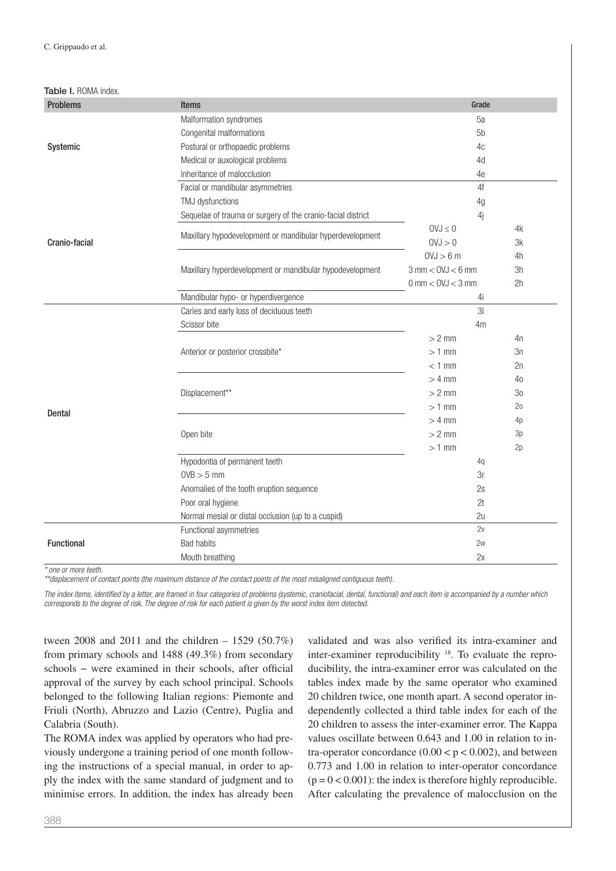#### Table I. ROMA index.

| <b>Problems</b>   | <b>Items</b>                                                | Grade                               |                 |
|-------------------|-------------------------------------------------------------|-------------------------------------|-----------------|
|                   | Malformation syndromes                                      | 5a                                  |                 |
|                   | Congenital malformations                                    | 5 <sub>b</sub>                      |                 |
| Systemic          | Postural or orthopaedic problems                            | 4c                                  |                 |
|                   | Medical or auxological problems                             | 4d                                  |                 |
|                   | Inheritance of malocclusion                                 | 4e                                  |                 |
|                   | Facial or mandibular asymmetries                            | 4f                                  |                 |
|                   | TMJ dysfunctions                                            | 4g                                  |                 |
|                   | Sequelae of trauma or surgery of the cranio-facial district | 4j                                  |                 |
|                   | Maxillary hypodevelopment or mandibular hyperdevelopment    | $0VJ \leq 0$                        | 4k              |
| Cranio-facial     |                                                             | 0VJ > 0                             | 3k              |
|                   |                                                             | 0VJ > 6m                            | 4h              |
|                   | Maxillary hyperdevelopment or mandibular hypodevelopment    | $3$ mm $<$ OVJ $<$ 6 mm             | 3h              |
|                   |                                                             | $0 \text{ mm} < OVI < 3 \text{ mm}$ | 2h              |
|                   | Mandibular hypo- or hyperdivergence                         | 4i                                  |                 |
|                   | Caries and early loss of deciduous teeth                    | 3 <sup>l</sup>                      |                 |
|                   | Scissor bite                                                | 4 <sub>m</sub>                      |                 |
|                   |                                                             | $> 2$ mm                            | 4n              |
|                   | Anterior or posterior crossbite*                            | $>1$ mm                             | 3n              |
|                   |                                                             | $< 1$ mm                            | 2n              |
|                   |                                                             | $> 4$ mm                            | 40              |
|                   | Displacement**                                              | $> 2$ mm                            | 30              |
| Dental            |                                                             | $>1$ mm                             | 20 <sub>o</sub> |
|                   |                                                             | $> 4$ mm                            | 4p              |
|                   | Open bite                                                   | $> 2$ mm                            | 3p              |
|                   |                                                             | $>1$ mm                             | 2p              |
|                   | Hypodontia of permanent teeth                               | 4q                                  |                 |
|                   | $OVB > 5$ mm                                                | 3r                                  |                 |
|                   | Anomalies of the tooth eruption sequence                    | 2s                                  |                 |
|                   | Poor oral hygiene                                           | 2t                                  |                 |
|                   | Normal mesial or distal occlusion (up to a cuspid)          | 2u                                  |                 |
|                   | Functional asymmetries                                      | 2v                                  |                 |
| <b>Functional</b> | <b>Bad habits</b>                                           | 2w                                  |                 |
|                   | Mouth breathing                                             | 2x                                  |                 |

\* one or more teeth.

\*\*displacement of contact points (the maximum distance of the contact points of the most misaligned contiguous teeth).

The index items, identified by a letter, are framed in four categories of problems (systemic, craniofacial, dental, functional) and each item is accompanied by a number which corresponds to the degree of risk. The degree of risk for each patient is given by the worst index item detected.

tween 2008 and 2011 and the children – 1529 (50.7%) from primary schools and 1488 (49.3%) from secondary schools – were examined in their schools, after official approval of the survey by each school principal. Schools belonged to the following Italian regions: Piemonte and Friuli (North), Abruzzo and Lazio (Centre), Puglia and Calabria (South).

The ROMA index was applied by operators who had previously undergone a training period of one month following the instructions of a special manual, in order to apply the index with the same standard of judgment and to minimise errors. In addition, the index has already been

validated and was also verifed its intra-examiner and inter-examiner reproducibility 18. To evaluate the reproducibility, the intra-examiner error was calculated on the tables index made by the same operator who examined 20 children twice, one month apart. A second operator independently collected a third table index for each of the 20 children to assess the inter-examiner error. The Kappa values oscillate between 0.643 and 1.00 in relation to intra-operator concordance  $(0.00 < p < 0.002)$ , and between 0.773 and 1.00 in relation to inter-operator concordance  $(p = 0 < 0.001)$ : the index is therefore highly reproducible. After calculating the prevalence of malocclusion on the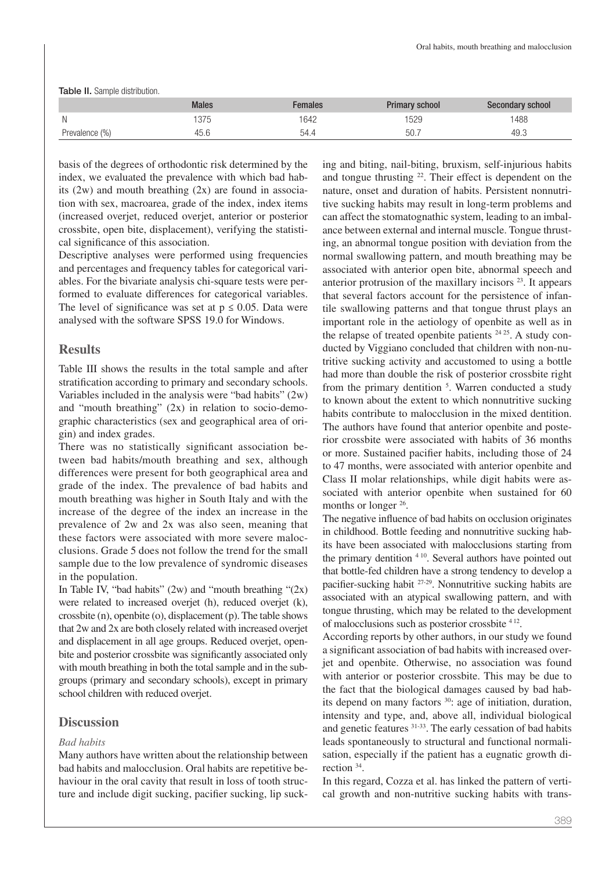Table II. Sample distribution.

|                | <b>Males</b> | <b>Females</b> | <b>Primary school</b> | Secondary school |
|----------------|--------------|----------------|-----------------------|------------------|
| N              | 375          | 642            | 529                   | 488              |
| Prevalence (%) | 45.C         | 54.4           | 50.7                  | 49.3             |

basis of the degrees of orthodontic risk determined by the index, we evaluated the prevalence with which bad habits  $(2w)$  and mouth breathing  $(2x)$  are found in association with sex, macroarea, grade of the index, index items (increased overjet, reduced overjet, anterior or posterior crossbite, open bite, displacement), verifying the statistical signifcance of this association.

Descriptive analyses were performed using frequencies and percentages and frequency tables for categorical variables. For the bivariate analysis chi-square tests were performed to evaluate differences for categorical variables. The level of significance was set at  $p \le 0.05$ . Data were analysed with the software SPSS 19.0 for Windows.

#### **Results**

Table III shows the results in the total sample and after stratifcation according to primary and secondary schools. Variables included in the analysis were "bad habits" (2w) and "mouth breathing" (2x) in relation to socio-demographic characteristics (sex and geographical area of origin) and index grades.

There was no statistically signifcant association between bad habits/mouth breathing and sex, although differences were present for both geographical area and grade of the index. The prevalence of bad habits and mouth breathing was higher in South Italy and with the increase of the degree of the index an increase in the prevalence of 2w and 2x was also seen, meaning that these factors were associated with more severe malocclusions. Grade 5 does not follow the trend for the small sample due to the low prevalence of syndromic diseases in the population.

In Table IV, "bad habits"  $(2w)$  and "mouth breathing " $(2x)$ were related to increased overjet (h), reduced overjet (k), crossbite (n), openbite (o), displacement (p). The table shows that 2w and 2x are both closely related with increased overjet and displacement in all age groups. Reduced overjet, openbite and posterior crossbite was signifcantly associated only with mouth breathing in both the total sample and in the subgroups (primary and secondary schools), except in primary school children with reduced overjet.

# **Discussion**

#### *Bad habits*

Many authors have written about the relationship between bad habits and malocclusion. Oral habits are repetitive behaviour in the oral cavity that result in loss of tooth structure and include digit sucking, pacifer sucking, lip sucking and biting, nail-biting, bruxism, self-injurious habits and tongue thrusting 22. Their effect is dependent on the nature, onset and duration of habits. Persistent nonnutritive sucking habits may result in long-term problems and can affect the stomatognathic system, leading to an imbalance between external and internal muscle. Tongue thrusting, an abnormal tongue position with deviation from the normal swallowing pattern, and mouth breathing may be associated with anterior open bite, abnormal speech and anterior protrusion of the maxillary incisors  $2<sup>3</sup>$ . It appears that several factors account for the persistence of infantile swallowing patterns and that tongue thrust plays an important role in the aetiology of openbite as well as in the relapse of treated openbite patients  $24 25$ . A study conducted by Viggiano concluded that children with non-nutritive sucking activity and accustomed to using a bottle had more than double the risk of posterior crossbite right from the primary dentition <sup>5</sup>. Warren conducted a study to known about the extent to which nonnutritive sucking habits contribute to malocclusion in the mixed dentition. The authors have found that anterior openbite and posterior crossbite were associated with habits of 36 months or more. Sustained pacifer habits, including those of 24 to 47 months, were associated with anterior openbite and Class II molar relationships, while digit habits were associated with anterior openbite when sustained for 60 months or longer <sup>26</sup>.

The negative infuence of bad habits on occlusion originates in childhood. Bottle feeding and nonnutritive sucking habits have been associated with malocclusions starting from the primary dentition <sup>4 10</sup>. Several authors have pointed out that bottle-fed children have a strong tendency to develop a pacifer-sucking habit 27-29. Nonnutritive sucking habits are associated with an atypical swallowing pattern, and with tongue thrusting, which may be related to the development of malocclusions such as posterior crossbite <sup>4</sup> 12.

According reports by other authors, in our study we found a signifcant association of bad habits with increased overjet and openbite. Otherwise, no association was found with anterior or posterior crossbite. This may be due to the fact that the biological damages caused by bad habits depend on many factors <sup>30</sup>: age of initiation, duration, intensity and type, and, above all, individual biological and genetic features 31-33. The early cessation of bad habits leads spontaneously to structural and functional normalisation, especially if the patient has a eugnatic growth direction 34.

In this regard, Cozza et al. has linked the pattern of vertical growth and non-nutritive sucking habits with trans-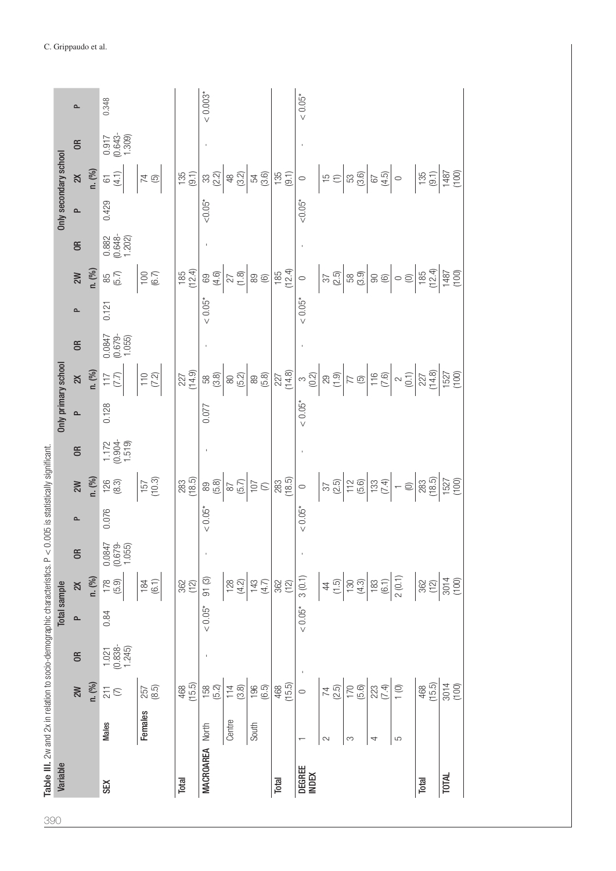| Table III. 2w and 2x in relation to socio-demographic characteristics. $P \lt \theta$<br><b>Total sample</b> | $\overline{a}$<br>$\mathsf{X}$<br>$\mathbf{r}$<br>$\epsilon$<br>2M | n. (%)<br>n. (%) | $0.0847$<br>$(0.679 -$<br>1.055)<br>$178$<br>(5.9)<br>0.84<br>$\begin{array}{c} 1.021 \\ (0.838 - 1.245) \end{array}$<br>$\frac{1}{6}$<br><b>Males</b> | (6.1)<br>184<br>(8.5)<br>257<br><b>Females</b>                     | $362$<br>(12)<br>(15.5)<br>468 | 91(3)<br>$< 0.05*$<br>$158$<br>$(5.2)$<br>North | $128$<br>(4.2)<br>$114$<br>$(3.8)$<br>Centre                                                                                                                                                                                                                                                                                                                                                        | $143$<br>(4.7)<br>196<br>(6.5)<br>South | 362<br>(12)<br>(15.5)<br>468 | 3(0.1)<br>$< 0.05*$<br>$\circ$ | $rac{1}{4}$ $rac{1}{2}$<br>$74$<br>(2.5)<br>$\sim$ | (4.3)<br>$170$<br>$(5.6)$<br>S | $183$<br>(6.1)<br>223<br>(7.4)<br>4                                                                                                                                                                                                                                                                                                                                                                                                                     | 2(0.1)<br>$\frac{1}{1}$<br>S | $\frac{362}{(12)}$<br>$468$<br>(15.5)                                                                                                                                                                                                                                                                                                                                                                                                                                                                                                                                 | 3014<br>(100)<br>3014<br>(100) |
|--------------------------------------------------------------------------------------------------------------|--------------------------------------------------------------------|------------------|--------------------------------------------------------------------------------------------------------------------------------------------------------|--------------------------------------------------------------------|--------------------------------|-------------------------------------------------|-----------------------------------------------------------------------------------------------------------------------------------------------------------------------------------------------------------------------------------------------------------------------------------------------------------------------------------------------------------------------------------------------------|-----------------------------------------|------------------------------|--------------------------------|----------------------------------------------------|--------------------------------|---------------------------------------------------------------------------------------------------------------------------------------------------------------------------------------------------------------------------------------------------------------------------------------------------------------------------------------------------------------------------------------------------------------------------------------------------------|------------------------------|-----------------------------------------------------------------------------------------------------------------------------------------------------------------------------------------------------------------------------------------------------------------------------------------------------------------------------------------------------------------------------------------------------------------------------------------------------------------------------------------------------------------------------------------------------------------------|--------------------------------|
| 0.005 is statistically significant.                                                                          | $\overline{a}$<br>2W<br>$\sim$                                     | (0, 0)           | $\begin{array}{c} 1.172 \\ (0.904 - 1.519) \end{array}$<br>$\begin{array}{c} 126 \\[-4pt] 8.3 \end{array}$<br>0.076                                    | $\frac{157}{(10.3)}$                                               | $283$<br>(18.5)                | $< 0.05*$                                       | $\begin{array}{c c}\n 89 & 8 \\  65 & 7 \\  \hline\n 6 & 7\n \end{array}$                                                                                                                                                                                                                                                                                                                           |                                         | $\frac{283}{(18.5)}$         | $\circ$<br>$< 0.05*$           |                                                    |                                |                                                                                                                                                                                                                                                                                                                                                                                                                                                         |                              | $\frac{\frac{1}{2} \sum_{i=1}^{2} \left \frac{1}{2} \sum_{i=1}^{2} \frac{1}{2} \sum_{i=1}^{2} \frac{1}{2} \sum_{i=1}^{2} \frac{1}{2} \sum_{i=1}^{2} \frac{1}{2} \sum_{i=1}^{2} \frac{1}{2} \sum_{i=1}^{2} \frac{1}{2} \sum_{i=1}^{2} \frac{1}{2} \sum_{i=1}^{2} \frac{1}{2} \sum_{i=1}^{2} \frac{1}{2} \sum_{i=1}^{2} \frac{1}{2} \sum_{i=1}^{2} \frac{1}{2} \sum_{i=$                                                                                                                                                                                                |                                |
| <b>Only primary school</b>                                                                                   | $\sim$                                                             |                  | $\frac{28}{117}$<br>$\frac{17}{17}$<br>0.128                                                                                                           | $\left \begin{matrix} 1 & 0 \\ 7 & 2 \\ 0 & 1 \end{matrix}\right $ | $227$<br>(14.9)                | 0.077                                           |                                                                                                                                                                                                                                                                                                                                                                                                     |                                         |                              | ${}< 0.05*$                    |                                                    |                                |                                                                                                                                                                                                                                                                                                                                                                                                                                                         |                              | $\begin{array}{l} \mathfrak{g}\mathfrak{g}\mathfrak{g}\left[\left.\bigcirc\right.\mathfrak{g}\mathfrak{g}\right]\right]\\ \mathfrak{g}\mathfrak{g}\left[\left.\bigcirc\right.\mathfrak{g}\mathfrak{g}\right]\right]\\ \mathfrak{g}\mathfrak{g}\left[\left.\bigcirc\right.\mathfrak{g}\right]\right]\\ \mathfrak{g}\left[\left.\bigcirc\right.\mathfrak{g}\right]\right]\\ \mathfrak{g}\left[\left.\bigcirc\right.\mathfrak{g}\right]\right]\\ \mathfrak{g}\left[\left.\bigcirc\right.\mathfrak{g}\right]\right]\\ \mathfrak{g}\left[\left.\bigcirc\right.\mathfrak{g$ |                                |
|                                                                                                              | 2W<br>$\mathbf{r}$<br>$\epsilon$                                   | n. (%)           | 85<br>(5.7)<br>0.121<br>$0.0847$<br>$(0.679$ -                                                                                                         | $rac{100}{6.7}$                                                    |                                | $< 0.05^*$                                      | $\frac{185}{120} \times \frac{180}{120} \times \frac{180}{120} \times \frac{180}{120} \times \frac{180}{120} \times \frac{180}{120} \times \frac{180}{120} \times \frac{180}{120} \times \frac{180}{120} \times \frac{180}{120} \times \frac{180}{120} \times \frac{180}{120} \times \frac{180}{120} \times \frac{180}{120} \times \frac{180}{120} \times \frac{180}{120} \times \frac{180}{120} \$ |                                         |                              | $\circ$<br>$< 0.05*$           |                                                    |                                |                                                                                                                                                                                                                                                                                                                                                                                                                                                         |                              | $\begin{array}{ c c c c c c c c } \hline \left. \left. \left. \left. \left. \left. \left. \left. \left. \left. \right. \right. \right. \right. \right. \right. \right. \left. \left. \left. \left. \right. \right. \right. \right. \right. \left. \left. \left. \left. \left. \right. \right. \right. \right. \left. \left. \left. \left. \left. \left. \right. \right. \right. \right. \right. \left. \left. \left. \left. \left. \left. \right. \right. \right. \right. \right. \left. \left. \left. \left. \left. \left. \left. \left$                             |                                |
| Only secondary school                                                                                        | $\mathsf{\widetilde{a}}$<br>$\sim$<br>$\epsilon$                   | n. (%)           | $61$<br>$(4.1)$<br>0.429<br>$0.882$<br>$(0.648 - 1.202)$                                                                                               | $\overline{74}$                                                    | (9.1)                          | $< 0.05*$                                       | $\begin{array}{c c c c c} \hline 3 & 0 & 0 \\ 0 & 0 & 0 \\ 0 & 0 & 0 \\ \hline \end{array}$                                                                                                                                                                                                                                                                                                         |                                         | (9.1)                        | $\circ$<br>$< 0.05*$           |                                                    |                                | $\left \begin{array}{c c} \rule{0pt}{2ex} \overline{12} & \overline{12} & \overline{12} & \overline{12} \\ \rule{0pt}{2ex} \overline{12} & \overline{12} & \overline{12} & \overline{12} \\ \rule{0pt}{2ex} \overline{12} & \overline{12} & \overline{12} & \overline{12} \\ \rule{0pt}{2ex} \overline{12} & \overline{12} & \overline{12} & \overline{12} \\ \rule{0pt}{2ex} \overline{12} & \overline{12} & \overline{12} & \overline{12} \\ \rule{0$ |                              | $\frac{135}{130}$<br>$\frac{137}{1487}$                                                                                                                                                                                                                                                                                                                                                                                                                                                                                                                               |                                |
|                                                                                                              | $\sim$<br>$\epsilon$                                               |                  | 0.348<br>$0.917$<br>$(0.643 - 1.309)$                                                                                                                  |                                                                    |                                | $< 0.003*$                                      |                                                                                                                                                                                                                                                                                                                                                                                                     |                                         |                              | $< 0.05*$                      |                                                    |                                |                                                                                                                                                                                                                                                                                                                                                                                                                                                         |                              |                                                                                                                                                                                                                                                                                                                                                                                                                                                                                                                                                                       |                                |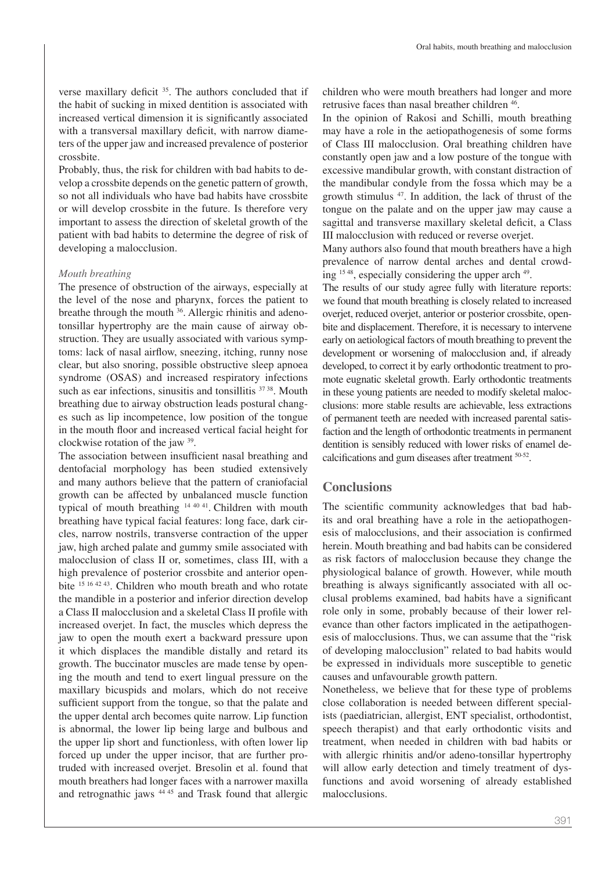verse maxillary deficit <sup>35</sup>. The authors concluded that if the habit of sucking in mixed dentition is associated with increased vertical dimension it is signifcantly associated with a transversal maxillary deficit, with narrow diameters of the upper jaw and increased prevalence of posterior crossbite.

Probably, thus, the risk for children with bad habits to develop a crossbite depends on the genetic pattern of growth, so not all individuals who have bad habits have crossbite or will develop crossbite in the future. Is therefore very important to assess the direction of skeletal growth of the patient with bad habits to determine the degree of risk of developing a malocclusion.

#### *Mouth breathing*

The presence of obstruction of the airways, especially at the level of the nose and pharynx, forces the patient to breathe through the mouth 36. Allergic rhinitis and adenotonsillar hypertrophy are the main cause of airway obstruction. They are usually associated with various symptoms: lack of nasal airflow, sneezing, itching, runny nose clear, but also snoring, possible obstructive sleep apnoea syndrome (OSAS) and increased respiratory infections such as ear infections, sinusitis and tonsillitis <sup>37</sup> 38. Mouth breathing due to airway obstruction leads postural changes such as lip incompetence, low position of the tongue in the mouth foor and increased vertical facial height for clockwise rotation of the jaw 39.

The association between insufficient nasal breathing and dentofacial morphology has been studied extensively and many authors believe that the pattern of craniofacial growth can be affected by unbalanced muscle function typical of mouth breathing <sup>14</sup> <sup>40</sup> 41. Children with mouth breathing have typical facial features: long face, dark circles, narrow nostrils, transverse contraction of the upper jaw, high arched palate and gummy smile associated with malocclusion of class II or, sometimes, class III, with a high prevalence of posterior crossbite and anterior openbite <sup>15</sup> <sup>16</sup> <sup>42</sup> 43. Children who mouth breath and who rotate the mandible in a posterior and inferior direction develop a Class II malocclusion and a skeletal Class II profle with increased overjet. In fact, the muscles which depress the jaw to open the mouth exert a backward pressure upon it which displaces the mandible distally and retard its growth. The buccinator muscles are made tense by opening the mouth and tend to exert lingual pressure on the maxillary bicuspids and molars, which do not receive sufficient support from the tongue, so that the palate and the upper dental arch becomes quite narrow. Lip function is abnormal, the lower lip being large and bulbous and the upper lip short and functionless, with often lower lip forced up under the upper incisor, that are further protruded with increased overjet. Bresolin et al. found that mouth breathers had longer faces with a narrower maxilla and retrognathic jaws <sup>44</sup> 45 and Trask found that allergic children who were mouth breathers had longer and more retrusive faces than nasal breather children  $46$ .

In the opinion of Rakosi and Schilli, mouth breathing may have a role in the aetiopathogenesis of some forms of Class III malocclusion. Oral breathing children have constantly open jaw and a low posture of the tongue with excessive mandibular growth, with constant distraction of the mandibular condyle from the fossa which may be a growth stimulus 47. In addition, the lack of thrust of the tongue on the palate and on the upper jaw may cause a sagittal and transverse maxillary skeletal deficit, a Class III malocclusion with reduced or reverse overjet.

Many authors also found that mouth breathers have a high prevalence of narrow dental arches and dental crowding <sup>15</sup> 48, especially considering the upper arch 49.

The results of our study agree fully with literature reports: we found that mouth breathing is closely related to increased overjet, reduced overjet, anterior or posterior crossbite, openbite and displacement. Therefore, it is necessary to intervene early on aetiological factors of mouth breathing to prevent the development or worsening of malocclusion and, if already developed, to correct it by early orthodontic treatment to promote eugnatic skeletal growth. Early orthodontic treatments in these young patients are needed to modify skeletal malocclusions: more stable results are achievable, less extractions of permanent teeth are needed with increased parental satisfaction and the length of orthodontic treatments in permanent dentition is sensibly reduced with lower risks of enamel decalcifcations and gum diseases after treatment 50-52.

# **Conclusions**

The scientifc community acknowledges that bad habits and oral breathing have a role in the aetiopathogenesis of malocclusions, and their association is confrmed herein. Mouth breathing and bad habits can be considered as risk factors of malocclusion because they change the physiological balance of growth. However, while mouth breathing is always signifcantly associated with all occlusal problems examined, bad habits have a signifcant role only in some, probably because of their lower relevance than other factors implicated in the aetipathogenesis of malocclusions. Thus, we can assume that the "risk of developing malocclusion" related to bad habits would be expressed in individuals more susceptible to genetic causes and unfavourable growth pattern.

Nonetheless, we believe that for these type of problems close collaboration is needed between different specialists (paediatrician, allergist, ENT specialist, orthodontist, speech therapist) and that early orthodontic visits and treatment, when needed in children with bad habits or with allergic rhinitis and/or adeno-tonsillar hypertrophy will allow early detection and timely treatment of dysfunctions and avoid worsening of already established malocclusions.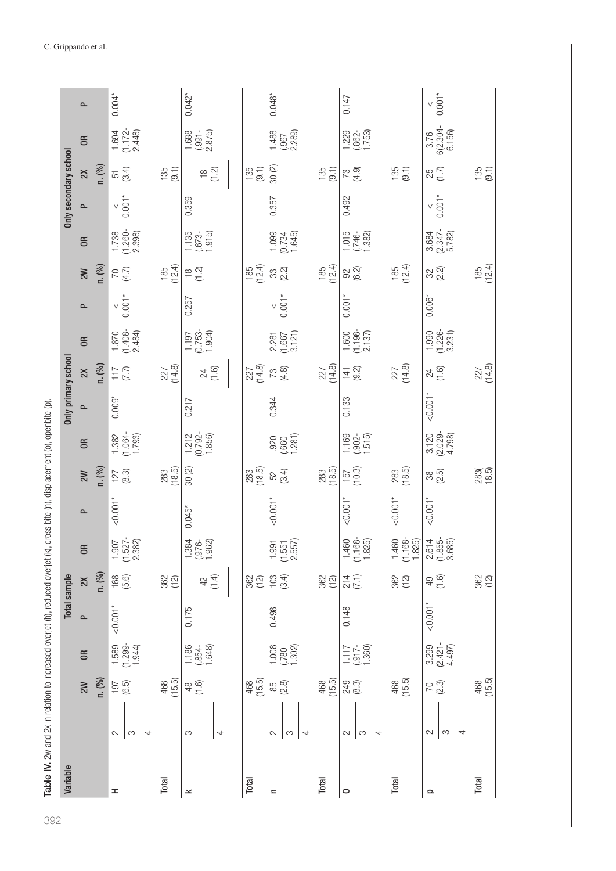| Variable |                                  |                                   |            | Total sample            |                                                          |                           |                     |                                                         | Only primary school |                 |                                                                  |                 |                                            |                                                         | Only secondary school |                                                            |                                 |                   |
|----------|----------------------------------|-----------------------------------|------------|-------------------------|----------------------------------------------------------|---------------------------|---------------------|---------------------------------------------------------|---------------------|-----------------|------------------------------------------------------------------|-----------------|--------------------------------------------|---------------------------------------------------------|-----------------------|------------------------------------------------------------|---------------------------------|-------------------|
|          | 2W                               | $\epsilon$                        | $\sim$     | $\geq$                  | OR <sub>1</sub>                                          | $\sim$                    | 2M                  | $\overline{a}$                                          | ௨                   | $\geq$          | $\in$                                                            | $\sim$          | 2W                                         | OR <sub></sub>                                          | $\sim$                | $\geq$                                                     | $\approx$                       | $\sim$            |
|          | n. (%)                           |                                   |            | n. (%)                  |                                                          |                           | n. (%)              |                                                         |                     | n. (%)          |                                                                  |                 | n. (%)                                     |                                                         |                       | n. (%)                                                     |                                 |                   |
| H        | 197<br>(6.5)<br>2<br>S<br>4      | $\frac{1.589}{(1.299-1.944)}$     | $-0.001*$  | (5.6)                   | $\begin{array}{c} 1.907 \\ (1.527 - 2.382) \end{array}$  | $-0.001*$                 | $127$ (8.3)         | $\begin{array}{c} 1.382 \\ (1.064 \\ 1.793 \end{array}$ | $0.009*$            | (7.7)           | $\frac{1.870}{(1.408-2.484)}$                                    | $6.001*$        | $\begin{pmatrix} 4.7 \\ 4.7 \end{pmatrix}$ | $\frac{1.738}{(1.260 - 2.398)}$                         | $6.001*$              | 51<br>(3.4)                                                | $\frac{1.694}{(1.172 - 2.448)}$ | $0.004*$          |
| Total    | 468<br>(15.5)                    |                                   |            | $362$<br>(12)           |                                                          |                           | $283$<br>(18.5)     |                                                         |                     | 227<br>(14.8)   |                                                                  |                 | $185$<br>$(12.4)$                          |                                                         |                       | (9.1)                                                      |                                 |                   |
| ᆇ        | $48$<br>(1.6)<br>S<br>4          | 1.186<br>(.854-<br>1.648)         | 0.175      | (1.4)<br>$42$           | $\frac{1.384}{(.976-1.962)}$                             | $0.045*$                  | 30(2)               | $\frac{1,212}{(0.792 - 1.856)}$                         | 0.217               | $74$ (1.6)      | $\begin{array}{c} 1.197 \\ (0.753 - 1.904) \\ 1.904 \end{array}$ | 0.257           | $\frac{8}{10}$                             | $\frac{1.135}{(.673-1.915)}$                            | 0.359                 | $\overset{\circ}{\mathcal{L}}\overset{\circ}{\mathcal{L}}$ | $\frac{1.688}{(.991 - 2.875)}$  | $0.042*$          |
| Total    | $468$<br>(15.5)                  |                                   |            | $\frac{362}{(12)}$      |                                                          |                           | $283$<br>(18.5)     |                                                         |                     | $227$<br>(14.8) |                                                                  |                 | $185$<br>$(12.4)$                          |                                                         |                       | $135$<br>$(9.1)$                                           |                                 |                   |
| $\equiv$ | 85<br>(2.8)<br>$\sim$<br>S<br>4  | $\frac{1008}{(780-1.302)}$        | 0.498      | $103$<br>$(3.4)$        | $\frac{1.991}{(1.551 - 2.557)}$                          | $-0.001*$                 | 52<br>(3.4)         | $(0.860 - 1.281)$                                       | 0.344               | $73$<br>(4.8)   | $2.281$<br>(1.667-<br>3.121)                                     | $\times$ 0.001* | $\begin{array}{c} 33 \\ 2.2 \end{array}$   | $1.099$<br>$(0.734 -$<br>$1.645)$                       | 0.357                 | 30(2)                                                      | $\frac{1,488}{2.289}$           | $0.048*$          |
| Total    | $468$<br>(15.5)                  |                                   |            | $362$<br>(12)           |                                                          |                           | 283<br>(18.5)       |                                                         |                     | $227$<br>(14.8) |                                                                  |                 | $(185)$<br>$(12.4)$                        |                                                         |                       | $135$<br>(9.1)                                             |                                 |                   |
| 0        | 249<br>(8.3)<br>$\sim$<br>S<br>4 | $1.117$<br>$(.917 -$<br>$1.360)$  | 0.148      | $\frac{214}{(7.1)}$     | $\begin{array}{c} 1.460 \\ (1.168 \\ 1.825) \end{array}$ | $\leq 0.001$ <sup>*</sup> | $(157)$<br>$(10.3)$ | $\frac{1.169}{(.902 - 1.515)}$                          | 0.133               | (9.2)           | $\frac{1,600}{(1,198-2.137)}$                                    | 0.001           | 92<br>(6.2)                                | $\frac{1015}{(.746-1.382)}$                             | 0.492                 | $73$<br>$(4.9)$                                            | 1,229<br>(.862-<br>1,753)       | 0.147             |
| Total    | 468<br>(15.5)                    |                                   |            | $\frac{362}{(12)}$      | $\frac{1,460}{(1,168-1.825)}$                            | $< 0.001*$                | 283<br>(18.5)       |                                                         |                     | $227$<br>(14.8) |                                                                  |                 | $185$<br>(12.4)                            |                                                         |                       | (9.1)                                                      |                                 |                   |
| Q        | 70<br>(2.3)<br>S<br>4<br>$\sim$  | $3.299$<br>$(2.421 -$<br>$4.497)$ | $< 0.001*$ | (1.6)<br>$\overline{6}$ | $2.614$<br>$(1.855 - 3.685)$                             | $< 0.001*$                | 38<br>(2.5)         | $\begin{array}{c} 3.120 \\ (2.029 - 4.798) \end{array}$ | $-0.001*$           | $74$ (1.6)      | $\frac{1.990}{(1.226-3.231)}$                                    | $0.006*$        | $32\over 2$                                | $\begin{array}{c} 3.684 \\ (2.347 - 5.782) \end{array}$ | $\frac{6}{10001}$     | 85<br>(1.7)                                                | $\frac{3.76}{6(2.304 - 6.156)}$ | $\frac{6}{10001}$ |
| Total    | (15.5)                           |                                   |            | $362$<br>(12)           |                                                          |                           | $283$<br>$(8.5)$    |                                                         |                     | 227<br>(14.8)   |                                                                  |                 | $185$<br>(12.4)                            |                                                         |                       | $135$<br>$(9.1)$                                           |                                 |                   |

Table IV. 2w and 2x in relation to increased overjet (h), reduced overjet (k), cross bite (n), displacement (o), openbite (p). 392Table IV. 2w and 2x in relation to increased overjet (h), reduced overjet (k), cross bite (n), displacement (o), openbite (p).<br>C

C. Grippaudo et al.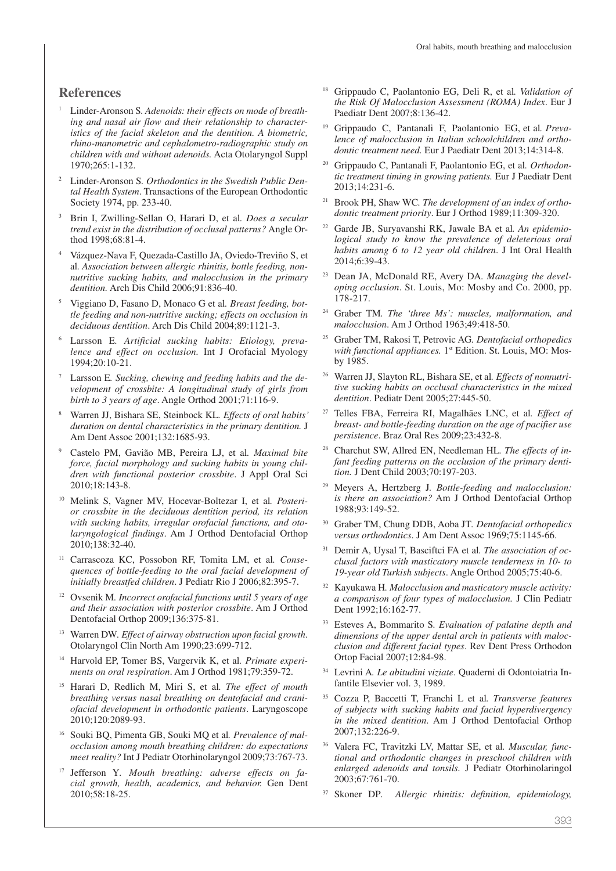#### **References**

- <sup>1</sup> Linder-Aronson S*. Adenoids: their effects on mode of breathing and nasal air flow and their relationship to characteristics of the facial skeleton and the dentition. A biometric, rhino-manometric and cephalometro-radiographic study on children with and without adenoids.* Acta Otolaryngol Suppl 1970;265:1-132.
- <sup>2</sup> Linder-Aronson S*. Orthodontics in the Swedish Public Dental Health System*. Transactions of the European Orthodontic Society 1974, pp. 233-40.
- <sup>3</sup> Brin I, Zwilling-Sellan O, Harari D, et al*. Does a secular trend exist in the distribution of occlusal patterns?* Angle Orthod 1998;68:81-4.
- <sup>4</sup> Vázquez-Nava F, Quezada-Castillo JA, Oviedo-Treviño S, et al*. Association between allergic rhinitis, bottle feeding, nonnutritive sucking habits, and malocclusion in the primary dentition.* Arch Dis Child 2006;91:836-40.
- <sup>5</sup> Viggiano D, Fasano D, Monaco G et al*. Breast feeding, bottle feeding and non-nutritive sucking; effects on occlusion in deciduous dentition*. Arch Dis Child 2004;89:1121-3.
- <sup>6</sup> Larsson E*. Artificial sucking habits: Etiology, prevalence and effect on occlusion.* Int J Orofacial Myology 1994;20:10-21.
- <sup>7</sup> Larsson E*. Sucking, chewing and feeding habits and the development of crossbite: A longitudinal study of girls from birth to 3 years of age*. Angle Orthod 2001;71:116-9.
- <sup>8</sup> Warren JJ, Bishara SE, Steinbock KL*. Effects of oral habits' duration on dental characteristics in the primary dentition.* J Am Dent Assoc 2001;132:1685-93.
- <sup>9</sup> Castelo PM, Gavião MB, Pereira LJ, et al*. Maximal bite force, facial morphology and sucking habits in young children with functional posterior crossbite*. J Appl Oral Sci 2010;18:143-8.
- <sup>10</sup> Melink S, Vagner MV, Hocevar-Boltezar I, et al*. Posterior crossbite in the deciduous dentition period, its relation with sucking habits, irregular orofacial functions, and otolaryngological findings*. Am J Orthod Dentofacial Orthop 2010;138:32-40.
- <sup>11</sup> Carrascoza KC, Possobon RF, Tomita LM, et al*. Consequences of bottle-feeding to the oral facial development of initially breastfed children*. J Pediatr Rio J 2006;82:395-7.
- <sup>12</sup> Ovsenik M*. Incorrect orofacial functions until 5 years of age and their association with posterior crossbite*. Am J Orthod Dentofacial Orthop 2009;136:375-81.
- <sup>13</sup> Warren DW*. Effect of airway obstruction upon facial growth*. Otolaryngol Clin North Am 1990;23:699-712.
- <sup>14</sup> Harvold EP, Tomer BS, Vargervik K, et al*. Primate experiments on oral respiration*. Am J Orthod 1981;79:359-72.
- <sup>15</sup> Harari D, Redlich M, Miri S, et al*. The effect of mouth breathing versus nasal breathing on dentofacial and craniofacial development in orthodontic patients*. Laryngoscope 2010;120:2089-93.
- <sup>16</sup> Souki BQ, Pimenta GB, Souki MQ et al*. Prevalence of malocclusion among mouth breathing children: do expectations meet reality?* Int J Pediatr Otorhinolaryngol 2009;73:767-73.
- <sup>17</sup> Jefferson Y*. Mouth breathing: adverse effects on facial growth, health, academics, and behavior.* Gen Dent 2010;58:18-25.
- <sup>18</sup> Grippaudo C, Paolantonio EG, Deli R, et al*. Validation of the Risk Of Malocclusion Assessment (ROMA) Index*. Eur J Paediatr Dent 2007;8:136-42.
- <sup>19</sup> Grippaudo C, Pantanali F, Paolantonio EG, et al*. Prevalence of malocclusion in Italian schoolchildren and orthodontic treatment need.* Eur J Paediatr Dent 2013;14:314-8.
- <sup>20</sup> Grippaudo C, Pantanali F, Paolantonio EG, et al*. Orthodontic treatment timing in growing patients.* Eur J Paediatr Dent 2013;14:231-6.
- <sup>21</sup> Brook PH, Shaw WC*. The development of an index of orthodontic treatment priority*. Eur J Orthod 1989;11:309-320.
- <sup>22</sup> Garde JB, Suryavanshi RK, Jawale BA et al*. An epidemiological study to know the prevalence of deleterious oral habits among 6 to 12 year old children*. J Int Oral Health 2014;6:39-43.
- Dean JA, McDonald RE, Avery DA. Managing the devel*oping occlusion*. St. Louis, Mo: Mosby and Co. 2000, pp. 178-217.
- <sup>24</sup> Graber TM*. The 'three Ms': muscles, malformation, and malocclusion*. Am J Orthod 1963;49:418-50.
- <sup>25</sup> Graber TM, Rakosi T, Petrovic AG*. Dentofacial orthopedics*  with functional appliances. 1<sup>st</sup> Edition. St. Louis, MO: Mosby 1985.
- <sup>26</sup> Warren JJ, Slayton RL, Bishara SE, et al*. Effects of nonnutritive sucking habits on occlusal characteristics in the mixed dentition*. Pediatr Dent 2005;27:445-50.
- <sup>27</sup> Telles FBA, Ferreira RI, Magalhães LNC, et al*. Effect of breast- and bottle-feeding duration on the age of pacifier use persistence*. Braz Oral Res 2009;23:432-8.
- <sup>28</sup> Charchut SW, Allred EN, Needleman HL*. The effects of infant feeding patterns on the occlusion of the primary dentition.* J Dent Child 2003;70:197-203.
- <sup>29</sup> Meyers A, Hertzberg J*. Bottle-feeding and malocclusion: is there an association?* Am J Orthod Dentofacial Orthop 1988;93:149-52.
- <sup>30</sup> Graber TM, Chung DDB, Aoba JT*. Dentofacial orthopedics versus orthodontics*. J Am Dent Assoc 1969;75:1145-66.
- <sup>31</sup> Demir A, Uysal T, Basciftci FA et al*. The association of occlusal factors with masticatory muscle tenderness in 10- to 19-year old Turkish subjects*. Angle Orthod 2005;75:40-6.
- <sup>32</sup> Kayukawa H*. Malocclusion and masticatory muscle activity: a comparison of four types of malocclusion.* J Clin Pediatr Dent 1992;16:162-77.
- <sup>33</sup> Esteves A, Bommarito S*. Evaluation of palatine depth and dimensions of the upper dental arch in patients with malocclusion and different facial types*. Rev Dent Press Orthodon Ortop Facial 2007;12:84-98.
- <sup>34</sup> Levrini A*. Le abitudini viziate*. Quaderni di Odontoiatria Infantile Elsevier vol. 3, 1989.
- <sup>35</sup> Cozza P, Baccetti T, Franchi L et al*. Transverse features of subjects with sucking habits and facial hyperdivergency in the mixed dentition*. Am J Orthod Dentofacial Orthop 2007;132:226-9.
- <sup>36</sup> Valera FC, Travitzki LV, Mattar SE, et al*. Muscular, functional and orthodontic changes in preschool children with enlarged adenoids and tonsils.* J Pediatr Otorhinolaringol 2003;67:761-70.
- <sup>37</sup> Skoner DP*. Allergic rhinitis: definition, epidemiology,*